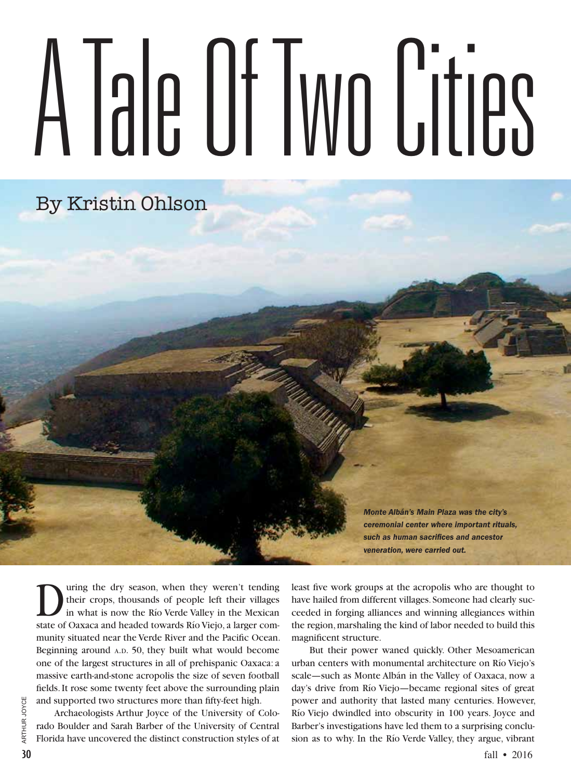## A Tale Of Two Cities

By Kristin Ohlson

*Monte Albán's Main Plaza was the city's ceremonial center where important rituals, such as human sacrifices and ancestor veneration, were carried out.*

**D** uring the dry season, when they weren't tending their crops, thousands of people left their villages in what is now the Río Verde Valley in the Mexican state of Quereau and hadded towards Pía Viais a large value their crops, thousands of people left their villages state of Oaxaca and headed towards Río Viejo, a larger community situated near the Verde River and the Pacific Ocean. Beginning around A.D. 50, they built what would become one of the largest structures in all of prehispanic Oaxaca: a massive earth-and-stone acropolis the size of seven football fields. It rose some twenty feet above the surrounding plain and supported two structures more than fifty-feet high.

Archaeologists Arthur Joyce of the University of Colorado Boulder and Sarah Barber of the University of Central Florida have uncovered the distinct construction styles of at least five work groups at the acropolis who are thought to have hailed from different villages. Someone had clearly succeeded in forging alliances and winning allegiances within the region, marshaling the kind of labor needed to build this magnificent structure.

But their power waned quickly. Other Mesoamerican urban centers with monumental architecture on Río Viejo's scale—such as Monte Albán in the Valley of Oaxaca, now a day's drive from Río Viejo—became regional sites of great power and authority that lasted many centuries. However, Río Viejo dwindled into obscurity in 100 years. Joyce and Barber's investigations have led them to a surprising conclusion as to why. In the Río Verde Valley, they argue, vibrant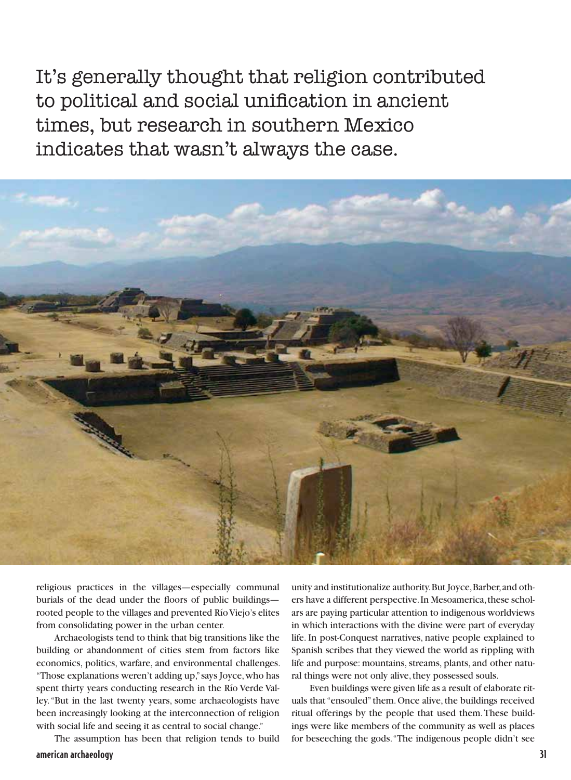It's generally thought that religion contributed to political and social unification in ancient times, but research in southern Mexico indicates that wasn't always the case.



religious practices in the villages—especially communal burials of the dead under the floors of public buildings rooted people to the villages and prevented Río Viejo's elites from consolidating power in the urban center.

Archaeologists tend to think that big transitions like the building or abandonment of cities stem from factors like economics, politics, warfare, and environmental challenges. "Those explanations weren't adding up," says Joyce, who has spent thirty years conducting research in the Río Verde Valley. "But in the last twenty years, some archaeologists have been increasingly looking at the interconnection of religion with social life and seeing it as central to social change."

american archaeology 31 The assumption has been that religion tends to build

unity and institutionalize authority. But Joyce, Barber, and others have a different perspective. In Mesoamerica, these scholars are paying particular attention to indigenous worldviews in which interactions with the divine were part of everyday life. In post-Conquest narratives, native people explained to Spanish scribes that they viewed the world as rippling with life and purpose: mountains, streams, plants, and other natural things were not only alive, they possessed souls.

Even buildings were given life as a result of elaborate rituals that "ensouled" them. Once alive, the buildings received ritual offerings by the people that used them. These buildings were like members of the community as well as places for beseeching the gods. "The indigenous people didn't see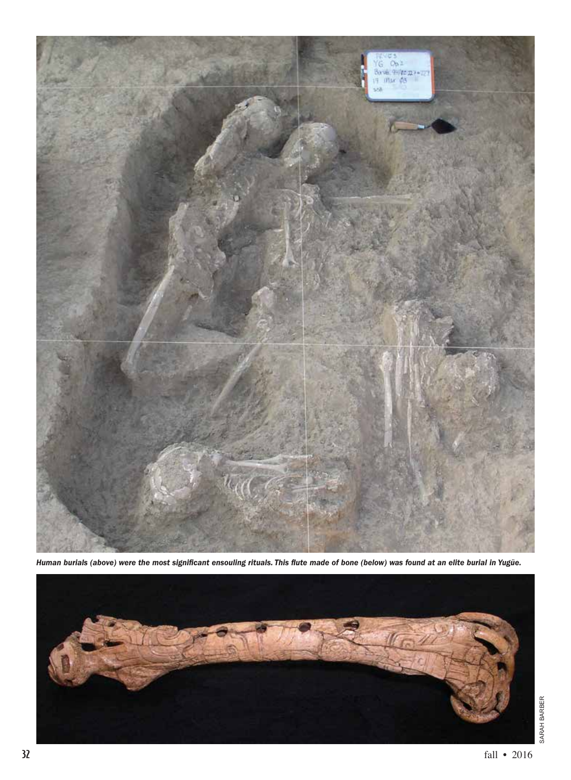

*Human burials (above) were the most significant ensouling rituals. This flute made of bone (below) was found at an elite burial in Yugüe.*

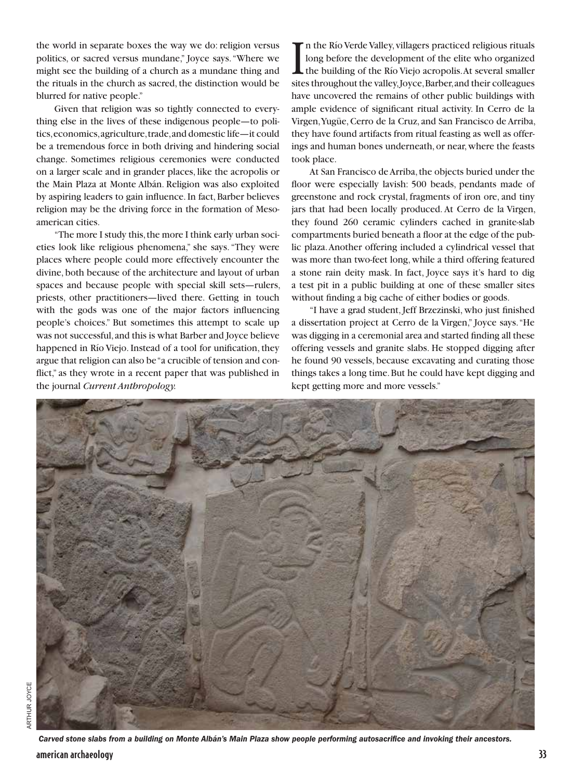the world in separate boxes the way we do: religion versus politics, or sacred versus mundane," Joyce says. "Where we might see the building of a church as a mundane thing and the rituals in the church as sacred, the distinction would be blurred for native people."

Given that religion was so tightly connected to everything else in the lives of these indigenous people—to politics, economics, agriculture, trade, and domestic life—it could be a tremendous force in both driving and hindering social change. Sometimes religious ceremonies were conducted on a larger scale and in grander places, like the acropolis or the Main Plaza at Monte Albán. Religion was also exploited by aspiring leaders to gain influence. In fact, Barber believes religion may be the driving force in the formation of Mesoamerican cities.

"The more I study this, the more I think early urban societies look like religious phenomena," she says. "They were places where people could more effectively encounter the divine, both because of the architecture and layout of urban spaces and because people with special skill sets—rulers, priests, other practitioners—lived there. Getting in touch with the gods was one of the major factors influencing people's choices." But sometimes this attempt to scale up was not successful, and this is what Barber and Joyce believe happened in Río Viejo. Instead of a tool for unification, they argue that religion can also be "a crucible of tension and conflict," as they wrote in a recent paper that was published in the journal *Current Anthropology.*

In the Río Verde Valley, villagers practiced religious rituals<br>long before the development of the elite who organized<br>the building of the Río Viejo acropolis. At several smaller<br>sites throughout the valley, Joyce, Barber, n the Río Verde Valley, villagers practiced religious rituals long before the development of the elite who organized the building of the Río Viejo acropolis. At several smaller have uncovered the remains of other public buildings with ample evidence of significant ritual activity. In Cerro de la Virgen, Yugüe, Cerro de la Cruz, and San Francisco de Arriba, they have found artifacts from ritual feasting as well as offerings and human bones underneath, or near, where the feasts took place.

At San Francisco de Arriba, the objects buried under the floor were especially lavish: 500 beads, pendants made of greenstone and rock crystal, fragments of iron ore, and tiny jars that had been locally produced. At Cerro de la Virgen, they found 260 ceramic cylinders cached in granite-slab compartments buried beneath a floor at the edge of the public plaza. Another offering included a cylindrical vessel that was more than two-feet long, while a third offering featured a stone rain deity mask. In fact, Joyce says it's hard to dig a test pit in a public building at one of these smaller sites without finding a big cache of either bodies or goods.

"I have a grad student, Jeff Brzezinski, who just finished a dissertation project at Cerro de la Virgen," Joyce says. "He was digging in a ceremonial area and started finding all these offering vessels and granite slabs. He stopped digging after he found 90 vessels, because excavating and curating those things takes a long time. But he could have kept digging and kept getting more and more vessels."



american archaeology 33  *Carved stone slabs from a building on Monte Albán's Main Plaza show people performing autosacrifice and invoking their ancestors.*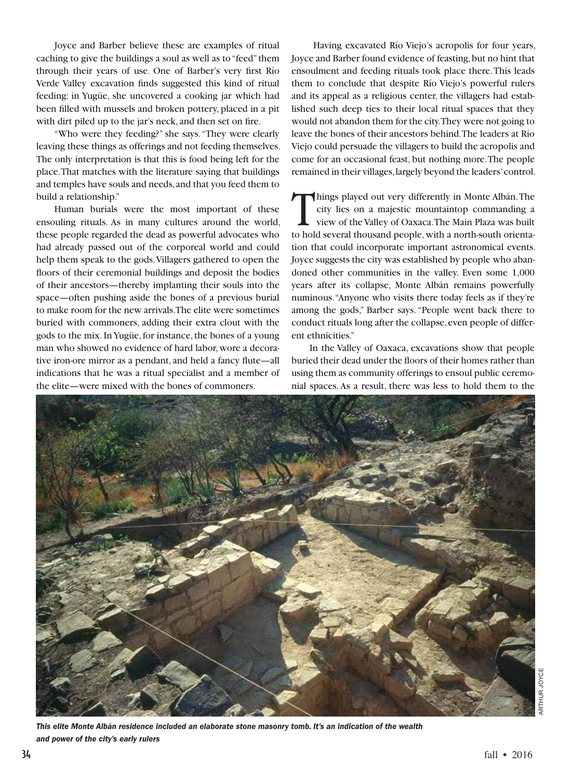Joyce and Barber believe these are examples of ritual caching to give the buildings a soul as well as to "feed" them through their years of use. One of Barber's very first Río Verde Valley excavation finds suggested this kind of ritual feeding: in Yugüe, she uncovered a cooking jar which had been filled with mussels and broken pottery, placed in a pit with dirt piled up to the jar's neck, and then set on fire.

"Who were they feeding?" she says. "They were clearly leaving these things as offerings and not feeding themselves. The only interpretation is that this is food being left for the place. That matches with the literature saying that buildings and temples have souls and needs, and that you feed them to build a relationship."

Human burials were the most important of these ensouling rituals. As in many cultures around the world, these people regarded the dead as powerful advocates who had already passed out of the corporeal world and could help them speak to the gods. Villagers gathered to open the floors of their ceremonial buildings and deposit the bodies of their ancestors—thereby implanting their souls into the space—often pushing aside the bones of a previous burial to make room for the new arrivals. The elite were sometimes buried with commoners, adding their extra clout with the gods to the mix. In Yugüe, for instance, the bones of a young man who showed no evidence of hard labor, wore a decorative iron-ore mirror as a pendant, and held a fancy flute—all indications that he was a ritual specialist and a member of the elite—were mixed with the bones of commoners.

 Having excavated Río Viejo's acropolis for four years, Joyce and Barber found evidence of feasting, but no hint that ensoulment and feeding rituals took place there. This leads them to conclude that despite Río Viejo's powerful rulers and its appeal as a religious center, the villagers had established such deep ties to their local ritual spaces that they would not abandon them for the city. They were not going to leave the bones of their ancestors behind. The leaders at Río Viejo could persuade the villagers to build the acropolis and come for an occasional feast, but nothing more. The people remained in their villages, largely beyond the leaders' control.

Things played out very differently in Monte Albán. The city lies on a majestic mountaintop commanding a view of the Valley of Oaxaca. The Main Plaza was built city lies on a majestic mountaintop commanding a to hold several thousand people, with a north-south orientation that could incorporate important astronomical events. Joyce suggests the city was established by people who abandoned other communities in the valley. Even some 1,000 years after its collapse, Monte Albán remains powerfully numinous. "Anyone who visits there today feels as if they're among the gods," Barber says. "People went back there to conduct rituals long after the collapse, even people of different ethnicities."

In the Valley of Oaxaca, excavations show that people buried their dead under the floors of their homes rather than using them as community offerings to ensoul public ceremonial spaces. As a result, there was less to hold them to the



*This elite Monte Albán residence included an elaborate stone masonry tomb. It's an indication of the wealth and power of the city's early rulers*